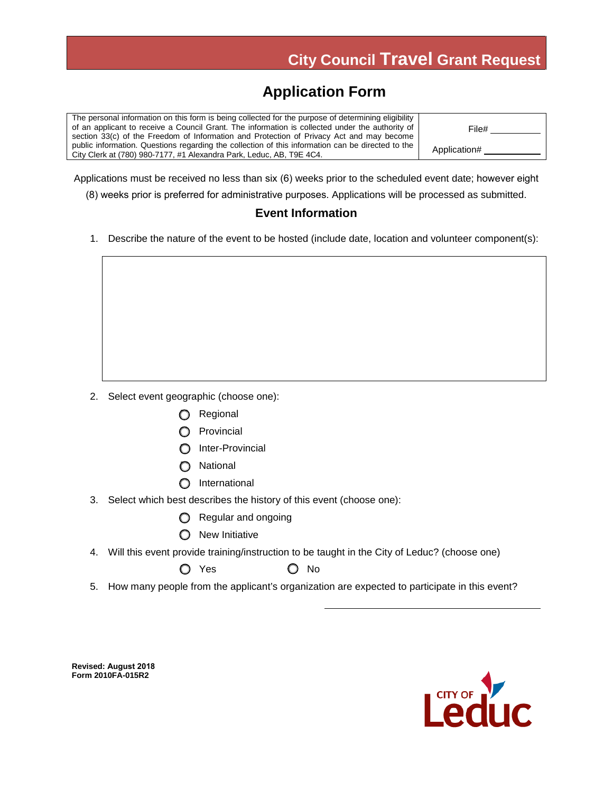### **Application Form**

The personal information on this form is being collected for the purpose of determining eligibility of an applicant to receive a Council Grant. The information is collected under the authority of section 33(c) of the Freedom of Information and Protection of Privacy Act and may become public information. Questions regarding the collection of this information can be directed to the City Clerk at (780) 980-7177, #1 Alexandra Park, Leduc, AB, T9E 4C4. File# Application#

Applications must be received no less than six (6) weeks prior to the scheduled event date; however eight

(8) weeks prior is preferred for administrative purposes. Applications will be processed as submitted.

#### **Event Information**

1. Describe the nature of the event to be hosted (include date, location and volunteer component(s):

- 2. Select event geographic (choose one):
	- **O** Regional
	- **O** Provincial
	- O Inter-Provincial
	- **O** National
	- **O** International
- 3. Select which best describes the history of this event (choose one):
	- Regular and ongoing
	- **O** New Initiative
- 4. Will this event provide training/instruction to be taught in the City of Leduc? (choose one)

 $\bigcirc$  Yes  $\bigcirc$  No

5. How many people from the applicant's organization are expected to participate in this event?

**Revised: August 2018 Form 2010FA-015R2** 

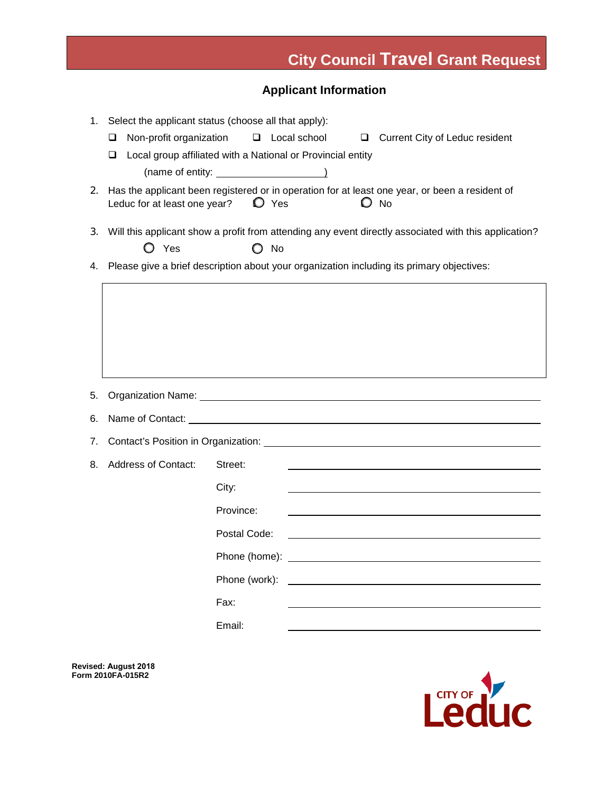### **Applicant Information**

| 1. | Select the applicant status (choose all that apply):                                                  |               |                  |   |                                                                                                |
|----|-------------------------------------------------------------------------------------------------------|---------------|------------------|---|------------------------------------------------------------------------------------------------|
|    | Non-profit organization<br>❏                                                                          | $\Box$        | Local school     | ⊔ | Current City of Leduc resident                                                                 |
|    | Local group affiliated with a National or Provincial entity<br>$\Box$                                 |               |                  |   |                                                                                                |
|    | $(name of entity: ____________$                                                                       |               |                  |   |                                                                                                |
| 2. |                                                                                                       |               |                  |   | Has the applicant been registered or in operation for at least one year, or been a resident of |
|    | Leduc for at least one year?                                                                          |               | $\mathbf{D}$ Yes |   | $\mathbf{O}$ No                                                                                |
| 3. | Will this applicant show a profit from attending any event directly associated with this application? |               |                  |   |                                                                                                |
|    | $O$ Yes                                                                                               |               | $\bigcirc$ No    |   |                                                                                                |
| 4. | Please give a brief description about your organization including its primary objectives:             |               |                  |   |                                                                                                |
|    |                                                                                                       |               |                  |   |                                                                                                |
|    |                                                                                                       |               |                  |   |                                                                                                |
|    |                                                                                                       |               |                  |   |                                                                                                |
|    |                                                                                                       |               |                  |   |                                                                                                |
|    |                                                                                                       |               |                  |   |                                                                                                |
|    |                                                                                                       |               |                  |   |                                                                                                |
| 5. |                                                                                                       |               |                  |   |                                                                                                |
| 6. | Name of Contact: Name of Contact:                                                                     |               |                  |   |                                                                                                |
| 7. |                                                                                                       |               |                  |   |                                                                                                |
| 8. | <b>Address of Contact:</b><br>Street:                                                                 |               |                  |   |                                                                                                |
|    |                                                                                                       |               |                  |   |                                                                                                |
|    |                                                                                                       | City:         |                  |   |                                                                                                |
|    |                                                                                                       | Province:     |                  |   |                                                                                                |
|    |                                                                                                       | Postal Code:  |                  |   |                                                                                                |
|    |                                                                                                       |               |                  |   |                                                                                                |
|    |                                                                                                       | Phone (work): |                  |   |                                                                                                |
|    |                                                                                                       | Fax:          |                  |   |                                                                                                |
|    |                                                                                                       |               |                  |   |                                                                                                |
|    |                                                                                                       | Email:        |                  |   |                                                                                                |

**Revised: August 2018 Form 2010FA-015R2** 

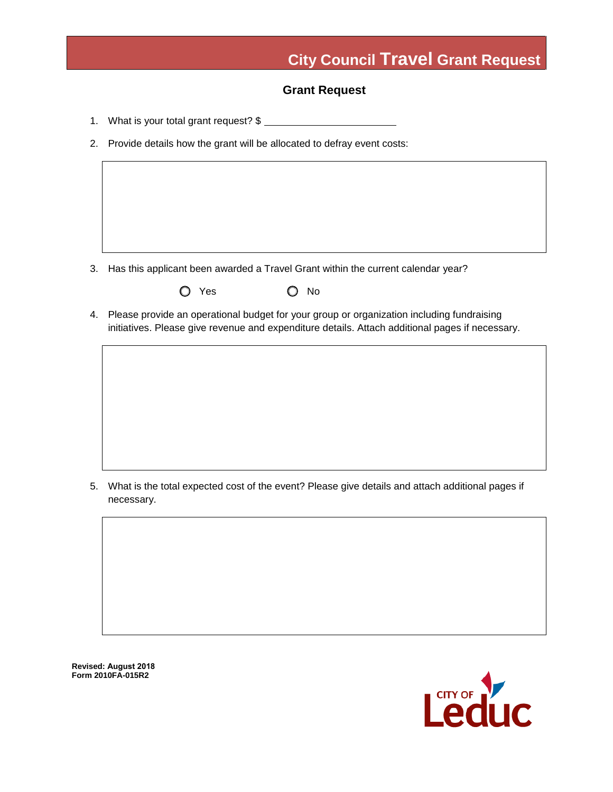#### **Grant Request**

- 1. What is your total grant request? \$
- 2. Provide details how the grant will be allocated to defray event costs:

- 3. Has this applicant been awarded a Travel Grant within the current calendar year?
	- O Yes O No
- 4. Please provide an operational budget for your group or organization including fundraising initiatives. Please give revenue and expenditure details. Attach additional pages if necessary.

5. What is the total expected cost of the event? Please give details and attach additional pages if necessary.